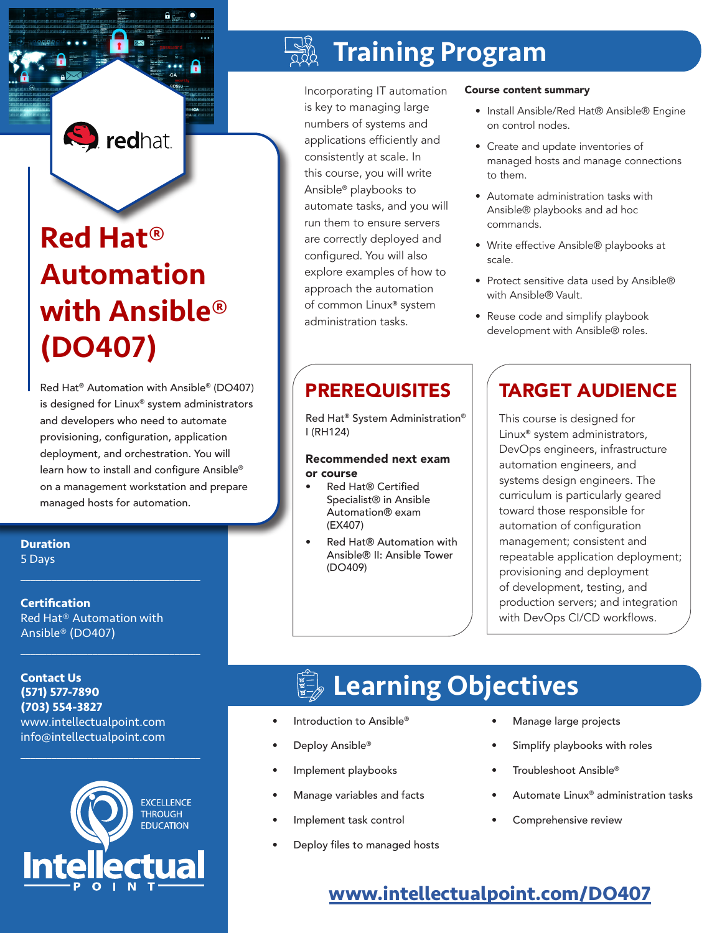## **S** redhat

# Red Hat® Automation with Ansible® (DO407)

Red Hat® Automation with Ansible® (DO407) is designed for Linux® system administrators and developers who need to automate provisioning, configuration, application deployment, and orchestration. You will learn how to install and configure Ansible® on a management workstation and prepare managed hosts for automation.

**Duration**

5 Days

**Certification** Red Hat® Automation with Ansible® (DO407)

 $\mathcal{L}_\text{max}$  and  $\mathcal{L}_\text{max}$  and  $\mathcal{L}_\text{max}$  and  $\mathcal{L}_\text{max}$ 

 $\mathcal{L}_\text{max}$  and  $\mathcal{L}_\text{max}$  and  $\mathcal{L}_\text{max}$  and  $\mathcal{L}_\text{max}$ 

**Contact Us (571) 577-7890 (703) 554-3827** www.intellectualpoint.com info@intellectualpoint.com



 $\mathcal{L}_\text{max}$  , and the set of the set of the set of the set of the set of the set of the set of the set of the set of the set of the set of the set of the set of the set of the set of the set of the set of the set of the

## Training Program

Incorporating IT automation is key to managing large numbers of systems and applications efficiently and consistently at scale. In this course, you will write Ansible® playbooks to automate tasks, and you will run them to ensure servers are correctly deployed and configured. You will also explore examples of how to approach the automation of common Linux® system administration tasks.

#### Course content summary

- Install Ansible/Red Hat® Ansible® Engine on control nodes.
- Create and update inventories of managed hosts and manage connections to them.
- Automate administration tasks with Ansible® playbooks and ad hoc commands.
- Write effective Ansible® playbooks at scale.
- Protect sensitive data used by Ansible® with Ansible® Vault.
- Reuse code and simplify playbook development with Ansible® roles.

Red Hat® System Administration® I (RH124)

#### Recommended next exam or course

- Red Hat® Certified Specialist® in Ansible Automation® exam (EX407)
- Red Hat® Automation with Ansible® II: Ansible Tower (DO409)

### **PREREQUISITES THE TARGET AUDIENCE**

This course is designed for Linux® system administrators, DevOps engineers, infrastructure automation engineers, and systems design engineers. The curriculum is particularly geared toward those responsible for automation of configuration management; consistent and repeatable application deployment; provisioning and deployment of development, testing, and production servers; and integration with DevOps CI/CD workflows.

## Learning Objectives

- Introduction to Ansible®
- Deploy Ansible<sup>®</sup>
- Implement playbooks
- Manage variables and facts
- Implement task control
- Deploy files to managed hosts
- Manage large projects
- Simplify playbooks with roles
- Troubleshoot Ansible®
- Automate Linux® administration tasks
- Comprehensive review

### **[www.intellectualpoint.com/](https://www.intellectualpoint.com/product/red-hat-automation-with-ansible-training-course/)DO407**